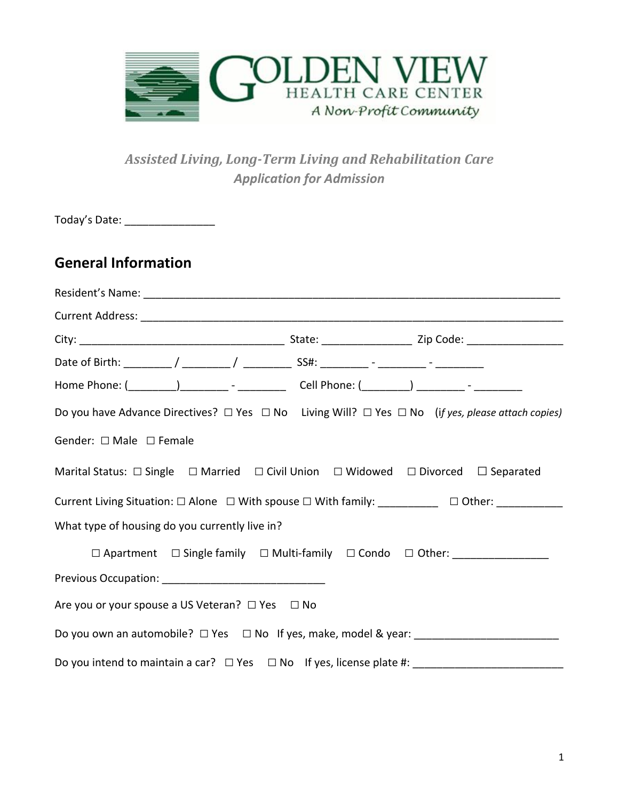

### *Assisted Living, Long-Term Living and Rehabilitation Care Application for Admission*

| Today's Date: __________________                                                                                      |  |  |
|-----------------------------------------------------------------------------------------------------------------------|--|--|
| <b>General Information</b>                                                                                            |  |  |
|                                                                                                                       |  |  |
|                                                                                                                       |  |  |
|                                                                                                                       |  |  |
|                                                                                                                       |  |  |
|                                                                                                                       |  |  |
| Do you have Advance Directives? $\Box$ Yes $\Box$ No Living Will? $\Box$ Yes $\Box$ No (if yes, please attach copies) |  |  |
| Gender: $\Box$ Male $\Box$ Female                                                                                     |  |  |
| Marital Status: □ Single □ Married □ Civil Union □ Widowed □ Divorced □ Separated                                     |  |  |
| Current Living Situation: □ Alone □ With spouse □ With family: _________ □ Other: _________                           |  |  |
| What type of housing do you currently live in?                                                                        |  |  |
| □ Apartment □ Single family □ Multi-family □ Condo □ Other: _________________                                         |  |  |
|                                                                                                                       |  |  |
| Are you or your spouse a US Veteran? $\Box$ Yes $\Box$ No                                                             |  |  |
| Do you own an automobile? □ Yes □ No If yes, make, model & year: _______________                                      |  |  |
| Do you intend to maintain a car? $\Box$ Yes $\Box$ No If yes, license plate #:                                        |  |  |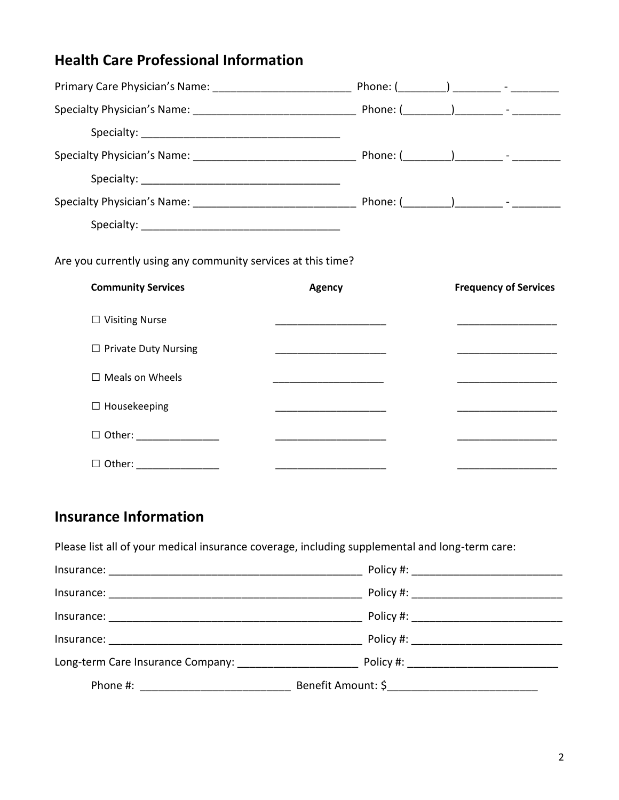## **Health Care Professional Information**

| Are you currently using any community services at this time?<br><b>Community Services</b> | <b>Agency</b>                                                                                                          | <b>Frequency of Services</b> |
|-------------------------------------------------------------------------------------------|------------------------------------------------------------------------------------------------------------------------|------------------------------|
| $\Box$ Visiting Nurse                                                                     | <u> 1990 - Johann John Harry Harry Harry Harry Harry Harry Harry Harry Harry Harry Harry Harry Harry Harry Harry H</u> |                              |
| $\Box$ Private Duty Nursing                                                               | the control of the control of the control of the control of                                                            |                              |
| $\Box$ Meals on Wheels                                                                    |                                                                                                                        |                              |
| $\Box$ Housekeeping                                                                       | the company of the company of the company of                                                                           |                              |
| $\Box$ Other: ___________________                                                         |                                                                                                                        |                              |

### **Insurance Information**

Please list all of your medical insurance coverage, including supplemental and long-term care:

| Long-term Care Insurance Company: |                                          |  |
|-----------------------------------|------------------------------------------|--|
|                                   |                                          |  |
|                                   | Policy #: ______________________________ |  |
|                                   | Policy #: __________________________     |  |
|                                   |                                          |  |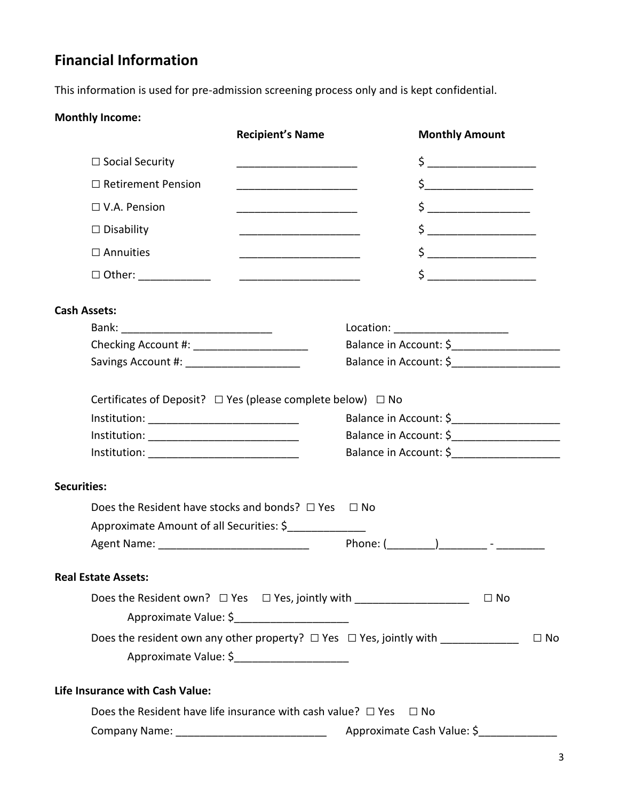# **Financial Information**

This information is used for pre-admission screening process only and is kept confidential.

#### **Monthly Income:**

|                                                                                  | <b>Recipient's Name</b>                                      | <b>Monthly Amount</b>                                                                             |                                                                                                                                                                                                                                                                                                                                                     |  |
|----------------------------------------------------------------------------------|--------------------------------------------------------------|---------------------------------------------------------------------------------------------------|-----------------------------------------------------------------------------------------------------------------------------------------------------------------------------------------------------------------------------------------------------------------------------------------------------------------------------------------------------|--|
| $\Box$ Social Security                                                           |                                                              |                                                                                                   | $\begin{picture}(20,10) \put(0,0){\line(1,0){10}} \put(15,0){\line(1,0){10}} \put(15,0){\line(1,0){10}} \put(15,0){\line(1,0){10}} \put(15,0){\line(1,0){10}} \put(15,0){\line(1,0){10}} \put(15,0){\line(1,0){10}} \put(15,0){\line(1,0){10}} \put(15,0){\line(1,0){10}} \put(15,0){\line(1,0){10}} \put(15,0){\line(1,0){10}} \put(15,0){\line(1$ |  |
| $\Box$ Retirement Pension                                                        | <u> 1980 - Johann John Stone, mars eta biztanleria (</u>     |                                                                                                   | $\begin{picture}(20,10) \put(0,0){\line(1,0){10}} \put(15,0){\line(1,0){10}} \put(15,0){\line(1,0){10}} \put(15,0){\line(1,0){10}} \put(15,0){\line(1,0){10}} \put(15,0){\line(1,0){10}} \put(15,0){\line(1,0){10}} \put(15,0){\line(1,0){10}} \put(15,0){\line(1,0){10}} \put(15,0){\line(1,0){10}} \put(15,0){\line(1,0){10}} \put(15,0){\line(1$ |  |
| $\Box$ V.A. Pension                                                              |                                                              |                                                                                                   | $\begin{picture}(20,10) \put(0,0){\line(1,0){10}} \put(15,0){\line(1,0){10}} \put(15,0){\line(1,0){10}} \put(15,0){\line(1,0){10}} \put(15,0){\line(1,0){10}} \put(15,0){\line(1,0){10}} \put(15,0){\line(1,0){10}} \put(15,0){\line(1,0){10}} \put(15,0){\line(1,0){10}} \put(15,0){\line(1,0){10}} \put(15,0){\line(1,0){10}} \put(15,0){\line(1$ |  |
| $\Box$ Disability                                                                |                                                              |                                                                                                   | $\begin{picture}(20,10) \put(0,0){\line(1,0){10}} \put(15,0){\line(1,0){10}} \put(15,0){\line(1,0){10}} \put(15,0){\line(1,0){10}} \put(15,0){\line(1,0){10}} \put(15,0){\line(1,0){10}} \put(15,0){\line(1,0){10}} \put(15,0){\line(1,0){10}} \put(15,0){\line(1,0){10}} \put(15,0){\line(1,0){10}} \put(15,0){\line(1,0){10}} \put(15,0){\line(1$ |  |
| $\square$ Annuities                                                              |                                                              |                                                                                                   | $\begin{picture}(20,10) \put(0,0){\line(1,0){10}} \put(15,0){\line(1,0){10}} \put(15,0){\line(1,0){10}} \put(15,0){\line(1,0){10}} \put(15,0){\line(1,0){10}} \put(15,0){\line(1,0){10}} \put(15,0){\line(1,0){10}} \put(15,0){\line(1,0){10}} \put(15,0){\line(1,0){10}} \put(15,0){\line(1,0){10}} \put(15,0){\line(1,0){10}} \put(15,0){\line(1$ |  |
|                                                                                  | <u> 2008 - Jan James James Barnett, amerikansk politik (</u> |                                                                                                   | $\begin{picture}(20,10) \put(0,0){\line(1,0){10}} \put(15,0){\line(1,0){10}} \put(15,0){\line(1,0){10}} \put(15,0){\line(1,0){10}} \put(15,0){\line(1,0){10}} \put(15,0){\line(1,0){10}} \put(15,0){\line(1,0){10}} \put(15,0){\line(1,0){10}} \put(15,0){\line(1,0){10}} \put(15,0){\line(1,0){10}} \put(15,0){\line(1,0){10}} \put(15,0){\line(1$ |  |
| <b>Cash Assets:</b>                                                              |                                                              |                                                                                                   |                                                                                                                                                                                                                                                                                                                                                     |  |
|                                                                                  |                                                              | Location: ________________________                                                                |                                                                                                                                                                                                                                                                                                                                                     |  |
|                                                                                  |                                                              | Balance in Account: \$______________________                                                      |                                                                                                                                                                                                                                                                                                                                                     |  |
| Savings Account #: ______________________                                        |                                                              | Balance in Account: \$                                                                            |                                                                                                                                                                                                                                                                                                                                                     |  |
| Institution: _______________________________                                     |                                                              | Balance in Account: \$_______________________<br>Balance in Account: \$<br>Balance in Account: \$ |                                                                                                                                                                                                                                                                                                                                                     |  |
| <b>Securities:</b>                                                               |                                                              |                                                                                                   |                                                                                                                                                                                                                                                                                                                                                     |  |
| Does the Resident have stocks and bonds? $\Box$ Yes                              |                                                              | $\Box$ No                                                                                         |                                                                                                                                                                                                                                                                                                                                                     |  |
| Approximate Amount of all Securities: \$                                         |                                                              |                                                                                                   |                                                                                                                                                                                                                                                                                                                                                     |  |
|                                                                                  |                                                              |                                                                                                   |                                                                                                                                                                                                                                                                                                                                                     |  |
| <b>Real Estate Assets:</b>                                                       |                                                              |                                                                                                   |                                                                                                                                                                                                                                                                                                                                                     |  |
| Does the Resident own? □ Yes □ Yes, jointly with _____________________           | Approximate Value: \$________________________                |                                                                                                   | $\Box$ No                                                                                                                                                                                                                                                                                                                                           |  |
| Does the resident own any other property? □ Yes □ Yes, jointly with ____________ | Approximate Value: \$                                        |                                                                                                   | $\Box$ No                                                                                                                                                                                                                                                                                                                                           |  |
| Life Insurance with Cash Value:                                                  |                                                              |                                                                                                   |                                                                                                                                                                                                                                                                                                                                                     |  |
| Does the Resident have life insurance with cash value? $\Box$ Yes                |                                                              | $\Box$ No                                                                                         |                                                                                                                                                                                                                                                                                                                                                     |  |
| Company Name: ________________________________                                   |                                                              | Approximate Cash Value: \$                                                                        |                                                                                                                                                                                                                                                                                                                                                     |  |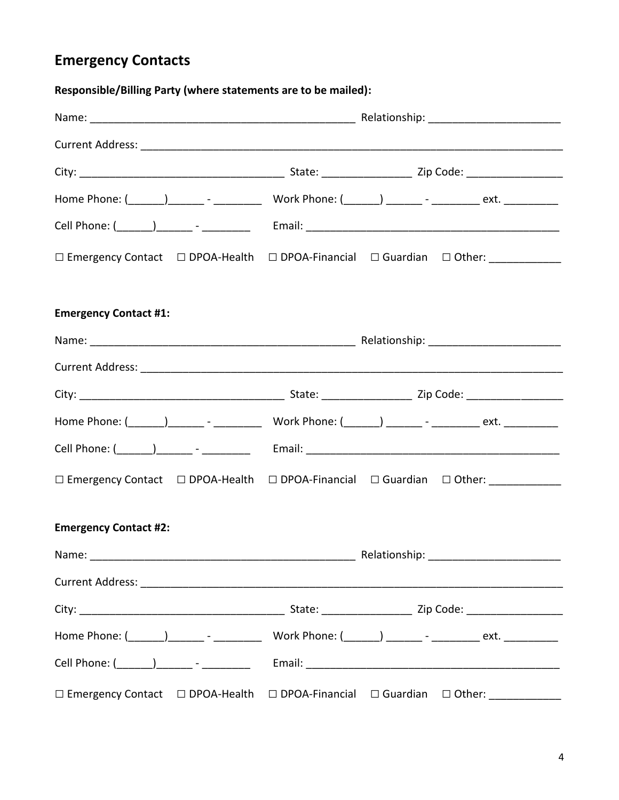## **Emergency Contacts**

**Responsible/Billing Party (where statements are to be mailed):**

| $\square$ Emergency Contact $\square$ DPOA-Health $\square$ DPOA-Financial $\square$ Guardian $\square$ Other: ____________ |  |
|-----------------------------------------------------------------------------------------------------------------------------|--|
| <b>Emergency Contact #1:</b>                                                                                                |  |
|                                                                                                                             |  |
|                                                                                                                             |  |
|                                                                                                                             |  |
|                                                                                                                             |  |
|                                                                                                                             |  |
| □ Emergency Contact □ DPOA-Health □ DPOA-Financial □ Guardian □ Other: ____________                                         |  |
| <b>Emergency Contact #2:</b>                                                                                                |  |
|                                                                                                                             |  |
|                                                                                                                             |  |
|                                                                                                                             |  |
|                                                                                                                             |  |
|                                                                                                                             |  |
| $\square$ Emergency Contact $\square$ DPOA-Health $\square$ DPOA-Financial $\square$ Guardian $\square$ Other: ____________ |  |